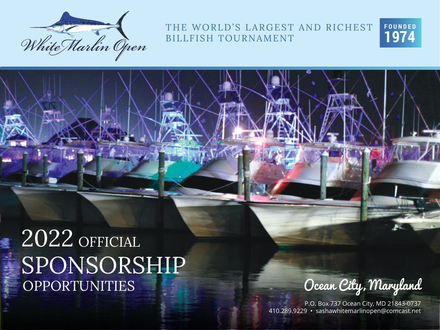

THE WORLD'S LARGEST AND RICHEST BILLFISH TOURNAMENT



# SPONSORSHIP OPPORTUNITIES 2022 OFFICIAL

Ocean City, Maryland

P.O. Box 737 Ocean City, MD 21843-0737 410.289.9229 • sashawhitemarlinopen@comcast.net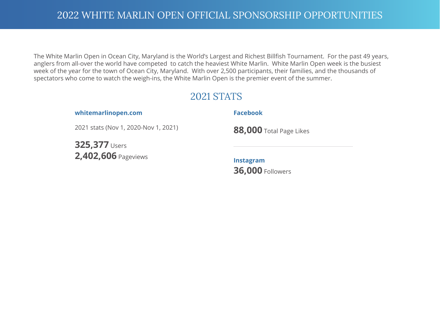The White Marlin Open in Ocean City, Maryland is the World's Largest and Richest Billfish Tournament. For the past 49 years, anglers from all-over the world have competed to catch the heaviest White Marlin. White Marlin Open week is the busiest week of the year for the town of Ocean City, Maryland. With over 2,500 participants, their families, and the thousands of spectators who come to watch the weigh-ins, the White Marlin Open is the premier event of the summer.

#### 2021 STATS

**whitemarlinopen.com** 

#### **Facebook**

2021 stats (Nov 1, 2020-Nov 1, 2021)

**325,377** Users **2,402,606** Pageviews **88,000** Total Page Likes

**Instagram 36,000** Followers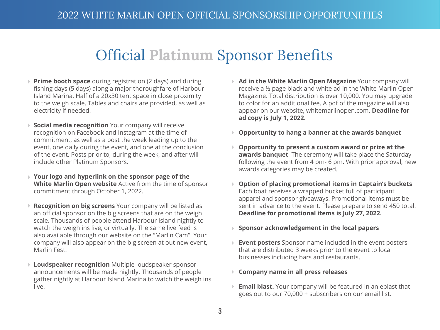### Official **Platinum** Sponsor Benefits

- **Prime booth space** during registration (2 days) and during fishing days (5 days) along a major thoroughfare of Harbour Island Marina. Half of a 20x30 tent space in close proximity to the weigh scale. Tables and chairs are provided, as well as electricity if needed.
- **Social media recognition** Your company will receive recognition on Facebook and Instagram at the time of commitment, as well as a post the week leading up to the event, one daily during the event, and one at the conclusion of the event. Posts prior to, during the week, and after will include other Platinum Sponsors.
- **Your logo and hyperlink on the sponsor page of the White Marlin Open website** Active from the time of sponsor commitment through October 1, 2022.
- **Recognition on big screens** Your company will be listed as an official sponsor on the big screens that are on the weigh scale. Thousands of people attend Harbour Island nightly to watch the weigh ins live, or virtually. The same live feed is also available through our website on the "Marlin Cam". Your company will also appear on the big screen at out new event, Marlin Fest.
- **Loudspeaker recognition** Multiple loudspeaker sponsor announcements will be made nightly. Thousands of people gather nightly at Harbour Island Marina to watch the weigh ins live.
- **Ad in the White Marlin Open Magazine** Your company will receive a ½ page black and white ad in the White Marlin Open Magazine. Total distribution is over 10,000. You may upgrade to color for an additional fee. A pdf of the magazine will also appear on our website, whitemarlinopen.com. **Deadline for ad copy is July 1, 2022.**
- **Opportunity to hang a banner at the awards banquet**
- **Opportunity to present a custom award or prize at the awards banquet** The ceremony will take place the Saturday following the event from 4 pm- 6 pm. With prior approval, new awards categories may be created.
- **Option of placing promotional items in Captain's buckets** Each boat receives a wrapped bucket full of participant apparel and sponsor giveaways. Promotional items must be sent in advance to the event. Please prepare to send 450 total. **Deadline for promotional items is July 27, 2022.**
- **Sponsor acknowledgement in the local papers**
- **Event posters** Sponsor name included in the event posters that are distributed 3 weeks prior to the event to local businesses including bars and restaurants.
- **Company name in all press releases**
- **Email blast.** Your company will be featured in an eblast that goes out to our 70,000 + subscribers on our email list.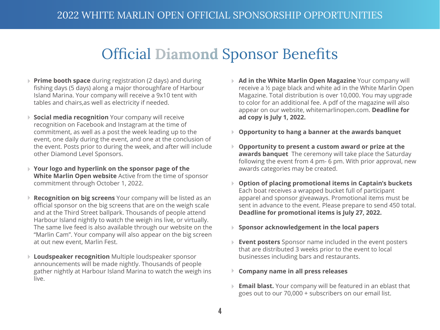### Official **Diamond** Sponsor Benefits

- **Prime booth space** during registration (2 days) and during fishing days (5 days) along a major thoroughfare of Harbour Island Marina. Your company will receive a 9x10 tent with tables and chairs,as well as electricity if needed.
- **Social media recognition** Your company will receive recognition on Facebook and Instagram at the time of commitment, as well as a post the week leading up to the event, one daily during the event, and one at the conclusion of the event. Posts prior to during the week, and after will include other Diamond Level Sponsors.
- **Your logo and hyperlink on the sponsor page of the White Marlin Open website** Active from the time of sponsor commitment through October 1, 2022.
- **Recognition on big screens** Your company will be listed as an official sponsor on the big screens that are on the weigh scale and at the Third Street ballpark. Thousands of people attend Harbour Island nightly to watch the weigh ins live, or virtually. The same live feed is also available through our website on the "Marlin Cam". Your company will also appear on the big screen at out new event, Marlin Fest.
- **Loudspeaker recognition** Multiple loudspeaker sponsor announcements will be made nightly. Thousands of people gather nightly at Harbour Island Marina to watch the weigh ins live.
- **Ad in the White Marlin Open Magazine** Your company will b. receive a ½ page black and white ad in the White Marlin Open Magazine. Total distribution is over 10,000. You may upgrade to color for an additional fee. A pdf of the magazine will also appear on our website, whitemarlinopen.com. **Deadline for ad copy is July 1, 2022.**
- **Opportunity to hang a banner at the awards banquet**
- **Opportunity to present a custom award or prize at the awards banquet** The ceremony will take place the Saturday following the event from 4 pm- 6 pm. With prior approval, new awards categories may be created.
- **Option of placing promotional items in Captain's buckets** Each boat receives a wrapped bucket full of participant apparel and sponsor giveaways. Promotional items must be sent in advance to the event. Please prepare to send 450 total. **Deadline for promotional items is July 27, 2022.**
- **Sponsor acknowledgement in the local papers**
- þ. **Event posters** Sponsor name included in the event posters that are distributed 3 weeks prior to the event to local businesses including bars and restaurants.
- **Company name in all press releases**
- **Email blast.** Your company will be featured in an eblast that goes out to our 70,000 + subscribers on our email list.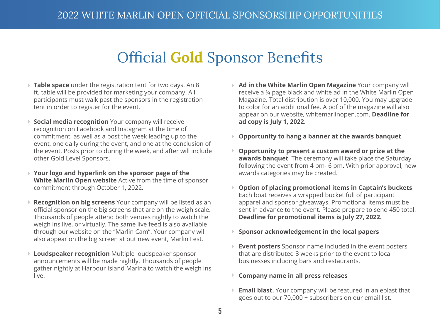#### Official **Gold** Sponsor Benefits

- **Table space** under the registration tent for two days. An 8 ft. table will be provided for marketing your company. All participants must walk past the sponsors in the registration tent in order to register for the event.
- **Social media recognition** Your company will receive recognition on Facebook and Instagram at the time of commitment, as well as a post the week leading up to the event, one daily during the event, and one at the conclusion of the event. Posts prior to during the week, and after will include other Gold Level Sponsors.
- **Your logo and hyperlink on the sponsor page of the White Marlin Open website** Active from the time of sponsor commitment through October 1, 2022.
- **Recognition on big screens** Your company will be listed as an official sponsor on the big screens that are on the weigh scale. Thousands of people attend both venues nightly to watch the weigh ins live, or virtually. The same live feed is also available through our website on the "Marlin Cam". Your company will also appear on the big screen at out new event, Marlin Fest.
- **Loudspeaker recognition** Multiple loudspeaker sponsor announcements will be made nightly. Thousands of people gather nightly at Harbour Island Marina to watch the weigh ins live.
- **Ad in the White Marlin Open Magazine** Your company will receive a ¼ page black and white ad in the White Marlin Open Magazine. Total distribution is over 10,000. You may upgrade to color for an additional fee. A pdf of the magazine will also appear on our website, whitemarlinopen.com. **Deadline for ad copy is July 1, 2022.**
- **Opportunity to hang a banner at the awards banquet**
- **Opportunity to present a custom award or prize at the awards banquet** The ceremony will take place the Saturday following the event from 4 pm- 6 pm. With prior approval, new awards categories may be created.
- **Option of placing promotional items in Captain's buckets** Þ. Each boat receives a wrapped bucket full of participant apparel and sponsor giveaways. Promotional items must be sent in advance to the event. Please prepare to send 450 total. **Deadline for promotional items is July 27, 2022.**
- **Sponsor acknowledgement in the local papers**
- **Event posters** Sponsor name included in the event posters that are distributed 3 weeks prior to the event to local businesses including bars and restaurants.
- **Company name in all press releases** Þ.
- **Email blast.** Your company will be featured in an eblast that goes out to our 70,000 + subscribers on our email list.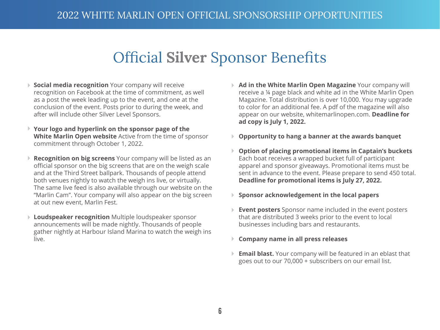#### Official **Silver** Sponsor Benefits

- **Social media recognition** Your company will receive recognition on Facebook at the time of commitment, as well as a post the week leading up to the event, and one at the conclusion of the event. Posts prior to during the week, and after will include other Silver Level Sponsors.
- **Your logo and hyperlink on the sponsor page of the White Marlin Open website** Active from the time of sponsor commitment through October 1, 2022.
- **Recognition on big screens** Your company will be listed as an official sponsor on the big screens that are on the weigh scale and at the Third Street ballpark. Thousands of people attend both venues nightly to watch the weigh ins live, or virtually. The same live feed is also available through our website on the "Marlin Cam". Your company will also appear on the big screen at out new event, Marlin Fest.
- **Loudspeaker recognition** Multiple loudspeaker sponsor announcements will be made nightly. Thousands of people gather nightly at Harbour Island Marina to watch the weigh ins live.
- **Ad in the White Marlin Open Magazine** Your company will receive a ¼ page black and white ad in the White Marlin Open Magazine. Total distribution is over 10,000. You may upgrade to color for an additional fee. A pdf of the magazine will also appear on our website, whitemarlinopen.com. **Deadline for ad copy is July 1, 2022.**
- **Opportunity to hang a banner at the awards banquet**
- **Option of placing promotional items in Captain's buckets** Þ. Each boat receives a wrapped bucket full of participant apparel and sponsor giveaways. Promotional items must be sent in advance to the event. Please prepare to send 450 total. **Deadline for promotional items is July 27, 2022.**
- **Sponsor acknowledgement in the local papers**
- **Event posters** Sponsor name included in the event posters that are distributed 3 weeks prior to the event to local businesses including bars and restaurants.
- **Company name in all press releases**
- **Email blast.** Your company will be featured in an eblast that goes out to our 70,000 + subscribers on our email list.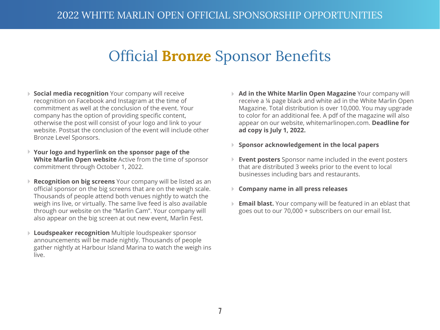#### Official **Bronze** Sponsor Benefits

- **Social media recognition** Your company will receive recognition on Facebook and Instagram at the time of commitment as well at the conclusion of the event. Your company has the option of providing specific content, otherwise the post will consist of your logo and link to your website. Postsat the conclusion of the event will include other Bronze Level Sponsors.
- **Your logo and hyperlink on the sponsor page of the White Marlin Open website** Active from the time of sponsor commitment through October 1, 2022.
- **Recognition on big screens** Your company will be listed as an official sponsor on the big screens that are on the weigh scale. Thousands of people attend both venues nightly to watch the weigh ins live, or virtually. The same live feed is also available through our website on the "Marlin Cam". Your company will also appear on the big screen at out new event, Marlin Fest.
- **Loudspeaker recognition** Multiple loudspeaker sponsor announcements will be made nightly. Thousands of people gather nightly at Harbour Island Marina to watch the weigh ins live.
- **Ad in the White Marlin Open Magazine** Your company will receive a ¼ page black and white ad in the White Marlin Open Magazine. Total distribution is over 10,000. You may upgrade to color for an additional fee. A pdf of the magazine will also appear on our website, whitemarlinopen.com. **Deadline for ad copy is July 1, 2022.**
- **Sponsor acknowledgement in the local papers**
- **Event posters** Sponsor name included in the event posters that are distributed 3 weeks prior to the event to local businesses including bars and restaurants.
- **Company name in all press releases** Þ.
- **Email blast.** Your company will be featured in an eblast that goes out to our 70,000 + subscribers on our email list.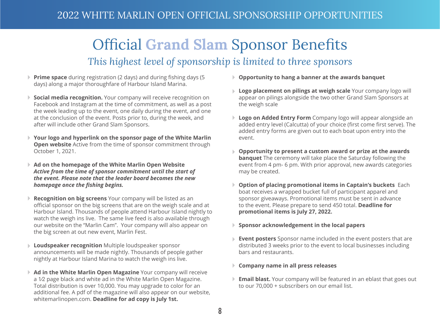#### Official **Grand Slam** Sponsor Benefits *This highest level of sponsorship is limited to three sponsors*

- **Prime space** during registration (2 days) and during fishing days (5 days) along a major thoroughfare of Harbour Island Marina.
- **Social media recognition.** Your company will receive recognition on Facebook and Instagram at the time of commitment, as well as a post the week leading up to the event, one daily during the event, and one at the conclusion of the event. Posts prior to, during the week, and after will include other Grand Slam Sponsors.
- **Your logo and hyperlink on the sponsor page of the White Marlin Open website** Active from the time of sponsor commitment through October 1, 2021.
- **Ad on the homepage of the White Marlin Open Website** *Active from the time of sponsor commitment until the start of the event. Please note that the leader board becomes the new homepage once the fishing begins.*
- **Recognition on big screens** Your company will be listed as an official sponsor on the big screens that are on the weigh scale and at Harbour Island. Thousands of people attend Harbour Island nightly to watch the weigh ins live. The same live feed is also available through our website on the "Marlin Cam". Your company will also appear on the big screen at out new event, Marlin Fest.
- **Loudspeaker recognition** Multiple loudspeaker sponsor announcements will be made nightly. Thousands of people gather nightly at Harbour Island Marina to watch the weigh ins live.
- **Ad in the White Marlin Open Magazine** Your company will receive a 1⁄2 page black and white ad in the White Marlin Open Magazine. Total distribution is over 10,000. You may upgrade to color for an additional fee. A pdf of the magazine will also appear on our website, whitemarlinopen.com. **Deadline for ad copy is July 1st.**
- **Opportunity to hang a banner at the awards banquet**
- **Logo placement on pilings at weigh scale** Your company logo will appear on pilings alongside the two other Grand Slam Sponsors at the weigh scale
- **Logo on Added Entry Form** Company logo will appear alongside an added entry level (Calcutta) of your choice (first come first serve). The added entry forms are given out to each boat upon entry into the event.
- **Opportunity to present a custom award or prize at the awards banquet** The ceremony will take place the Saturday following the event from 4 pm- 6 pm. With prior approval, new awards categories may be created.
- **Option of placing promotional items in Captain's buckets** Each boat receives a wrapped bucket full of participant apparel and sponsor giveaways. Promotional items must be sent in advance to the event. Please prepare to send 450 total. **Deadline for promotional items is July 27, 2022.**
- **Sponsor acknowledgement in the local papers**
- **Event posters** Sponsor name included in the event posters that are distributed 3 weeks prior to the event to local businesses including bars and restaurants.
- **Company name in all press releases**
- **Email blast.** Your company will be featured in an eblast that goes out to our 70,000 + subscribers on our email list.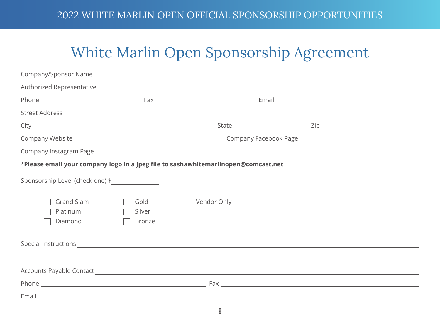## White Marlin Open Sponsorship Agreement

|                                   |                                 | *Please email your company logo in a jpeg file to sashawhitemarlinopen@comcast.net                                                                                                                                            |  |  |
|-----------------------------------|---------------------------------|-------------------------------------------------------------------------------------------------------------------------------------------------------------------------------------------------------------------------------|--|--|
| Sponsorship Level (check one) \$  |                                 |                                                                                                                                                                                                                               |  |  |
| Grand Slam<br>Platinum<br>Diamond | Gold<br>Silver<br><b>Bronze</b> | Vendor Only                                                                                                                                                                                                                   |  |  |
|                                   |                                 | Special Instructions expected by the contract of the contract of the contract of the contract of the contract of the contract of the contract of the contract of the contract of the contract of the contract of the contract |  |  |
|                                   |                                 |                                                                                                                                                                                                                               |  |  |
|                                   |                                 |                                                                                                                                                                                                                               |  |  |
|                                   |                                 |                                                                                                                                                                                                                               |  |  |
|                                   |                                 |                                                                                                                                                                                                                               |  |  |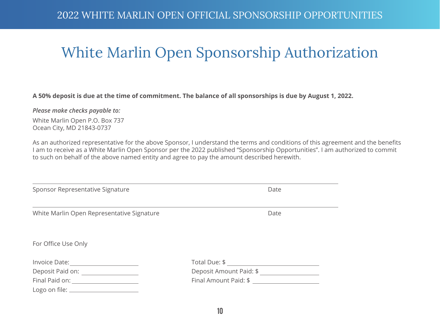### White Marlin Open Sponsorship Authorization

#### **A 50% deposit is due at the time of commitment. The balance of all sponsorships is due by August 1, 2022.**

#### *Please make checks payable to:*

White Marlin Open P.O. Box 737 Ocean City, MD 21843-0737

As an authorized representative for the above Sponsor, I understand the terms and conditions of this agreement and the benefits I am to receive as a White Marlin Open Sponsor per the 2022 published "Sponsorship Opportunities". I am authorized to commit to such on behalf of the above named entity and agree to pay the amount described herewith.

| Date                    |  |
|-------------------------|--|
| Date                    |  |
|                         |  |
|                         |  |
| Deposit Amount Paid: \$ |  |
|                         |  |
|                         |  |
|                         |  |